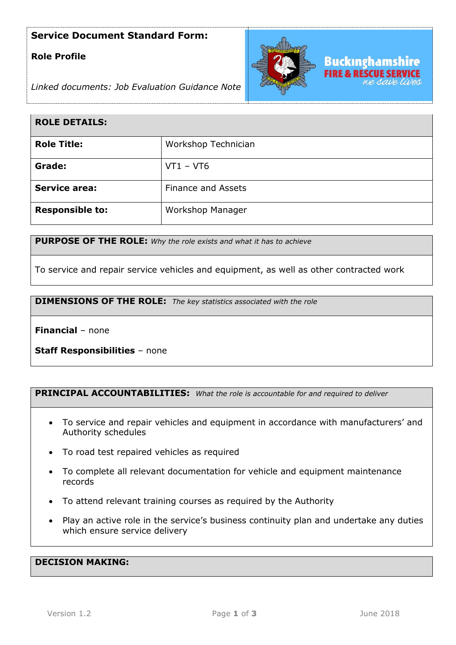## **Service Document Standard Form:**

## **Role Profile**



*Linked documents: Job Evaluation Guidance Note*

| <b>ROLE DETAILS:</b>   |                           |
|------------------------|---------------------------|
| <b>Role Title:</b>     | Workshop Technician       |
| Grade:                 | $VT1 - VT6$               |
| <b>Service area:</b>   | <b>Finance and Assets</b> |
| <b>Responsible to:</b> | Workshop Manager          |

**PURPOSE OF THE ROLE:** *Why the role exists and what it has to achieve* 

To service and repair service vehicles and equipment, as well as other contracted work

**DIMENSIONS OF THE ROLE:** *The key statistics associated with the role*

**Financial** – none

**Staff Responsibilities** – none

### **PRINCIPAL ACCOUNTABILITIES:** *What the role is accountable for and required to deliver*

- To service and repair vehicles and equipment in accordance with manufacturers' and Authority schedules
- To road test repaired vehicles as required
- To complete all relevant documentation for vehicle and equipment maintenance records
- To attend relevant training courses as required by the Authority
- Play an active role in the service's business continuity plan and undertake any duties which ensure service delivery

#### **DECISION MAKING:**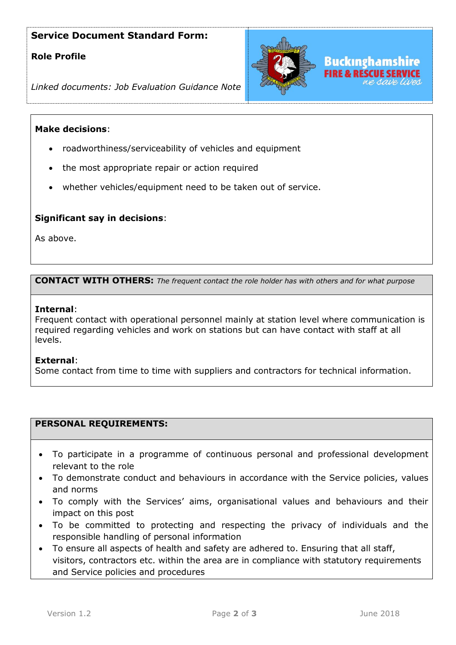# **Service Document Standard Form:**

### **Role Profile**



*Linked documents: Job Evaluation Guidance Note*

#### **Make decisions**:

- roadworthiness/serviceability of vehicles and equipment
- the most appropriate repair or action required
- whether vehicles/equipment need to be taken out of service.

#### **Significant say in decisions**:

As above.

#### **CONTACT WITH OTHERS:** *The frequent contact the role holder has with others and for what purpose*

#### **Internal**:

Frequent contact with operational personnel mainly at station level where communication is required regarding vehicles and work on stations but can have contact with staff at all levels.

#### **External**:

Some contact from time to time with suppliers and contractors for technical information.

#### **PERSONAL REQUIREMENTS:**

- To participate in a programme of continuous personal and professional development relevant to the role
- To demonstrate conduct and behaviours in accordance with the Service policies, values and norms
- To comply with the Services' aims, organisational values and behaviours and their impact on this post
- To be committed to protecting and respecting the privacy of individuals and the responsible handling of personal information
- To ensure all aspects of health and safety are adhered to. Ensuring that all staff, visitors, contractors etc. within the area are in compliance with statutory requirements and Service policies and procedures